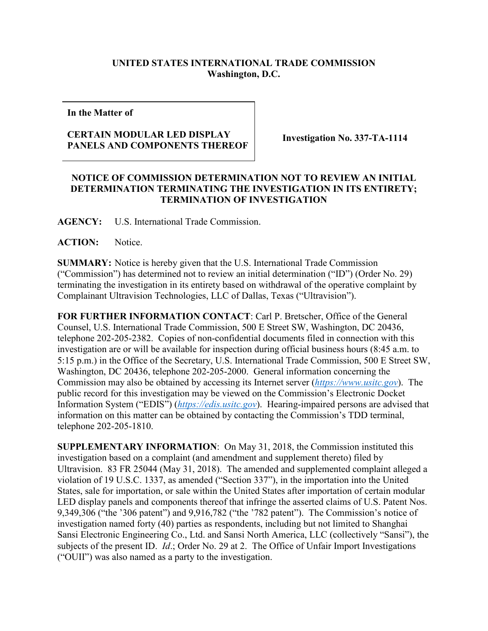## **UNITED STATES INTERNATIONAL TRADE COMMISSION Washington, D.C.**

**In the Matter of**

## **CERTAIN MODULAR LED DISPLAY PANELS AND COMPONENTS THEREOF Investigation No. 337-TA-1114**

## **NOTICE OF COMMISSION DETERMINATION NOT TO REVIEW AN INITIAL DETERMINATION TERMINATING THE INVESTIGATION IN ITS ENTIRETY; TERMINATION OF INVESTIGATION**

**AGENCY:** U.S. International Trade Commission.

**ACTION:** Notice.

**SUMMARY:** Notice is hereby given that the U.S. International Trade Commission ("Commission") has determined not to review an initial determination ("ID") (Order No. 29) terminating the investigation in its entirety based on withdrawal of the operative complaint by Complainant Ultravision Technologies, LLC of Dallas, Texas ("Ultravision").

**FOR FURTHER INFORMATION CONTACT**: Carl P. Bretscher, Office of the General Counsel, U.S. International Trade Commission, 500 E Street SW, Washington, DC 20436, telephone 202-205-2382. Copies of non-confidential documents filed in connection with this investigation are or will be available for inspection during official business hours (8:45 a.m. to 5:15 p.m.) in the Office of the Secretary, U.S. International Trade Commission, 500 E Street SW, Washington, DC 20436, telephone 202-205-2000. General information concerning the Commission may also be obtained by accessing its Internet server (*[https://www.usitc.gov](https://www.usitc.gov/)*). The public record for this investigation may be viewed on the Commission's Electronic Docket Information System ("EDIS") (*[https://edis.usitc.gov](https://edis.usitc.gov/)*). Hearing-impaired persons are advised that information on this matter can be obtained by contacting the Commission's TDD terminal, telephone 202-205-1810.

**SUPPLEMENTARY INFORMATION**: On May 31, 2018, the Commission instituted this investigation based on a complaint (and amendment and supplement thereto) filed by Ultravision. 83 FR 25044 (May 31, 2018). The amended and supplemented complaint alleged a violation of 19 U.S.C. 1337, as amended ("Section 337"), in the importation into the United States, sale for importation, or sale within the United States after importation of certain modular LED display panels and components thereof that infringe the asserted claims of U.S. Patent Nos. 9,349,306 ("the '306 patent") and 9,916,782 ("the '782 patent"). The Commission's notice of investigation named forty (40) parties as respondents, including but not limited to Shanghai Sansi Electronic Engineering Co., Ltd. and Sansi North America, LLC (collectively "Sansi"), the subjects of the present ID. *Id*.; Order No. 29 at 2. The Office of Unfair Import Investigations ("OUII") was also named as a party to the investigation.